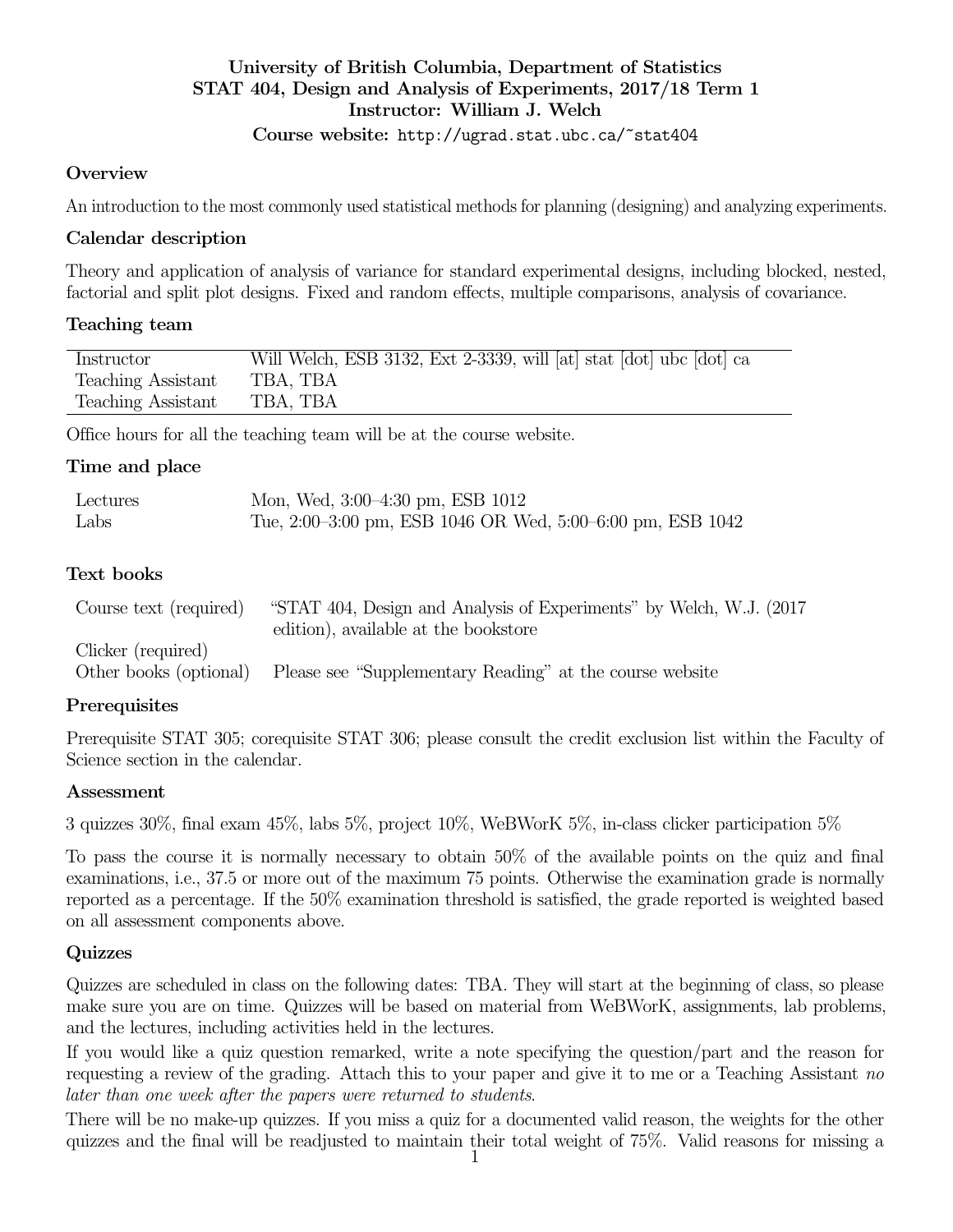## University of British Columbia, Department of Statistics STAT 404, Design and Analysis of Experiments, 2017/18 Term 1 Instructor: William J. Welch Course website: http://ugrad.stat.ubc.ca/~stat404

#### **Overview**

An introduction to the most commonly used statistical methods for planning (designing) and analyzing experiments.

### Calendar description

Theory and application of analysis of variance for standard experimental designs, including blocked, nested, factorial and split plot designs. Fixed and random effects, multiple comparisons, analysis of covariance.

#### Teaching team

| Instructor         | Will Welch, ESB 3132, Ext 2-3339, will [at] stat [dot] ubc [dot] ca |
|--------------------|---------------------------------------------------------------------|
| Teaching Assistant | TBA, TBA                                                            |
| Teaching Assistant | TBA, TBA                                                            |

Office hours for all the teaching team will be at the course website.

#### Time and place

| Lectures | Mon, Wed, 3:00–4:30 pm, ESB 1012                           |
|----------|------------------------------------------------------------|
| Labs     | Tue, 2:00–3:00 pm, ESB 1046 OR Wed, 5:00–6:00 pm, ESB 1042 |

#### Text books

| Course text (required) | "STAT 404, Design and Analysis of Experiments" by Welch, W.J. (2017) |
|------------------------|----------------------------------------------------------------------|
|                        | edition), available at the bookstore                                 |
| Clicker (required)     |                                                                      |
| Other books (optional) | Please see "Supplementary Reading" at the course website             |

## **Prerequisites**

Prerequisite STAT 305; corequisite STAT 306; please consult the credit exclusion list within the Faculty of Science section in the calendar.

## Assessment

3 quizzes 30%, final exam 45%, labs 5%, project 10%, WeBWorK 5%, in-class clicker participation 5%

To pass the course it is normally necessary to obtain 50% of the available points on the quiz and final examinations, i.e., 37.5 or more out of the maximum 75 points. Otherwise the examination grade is normally reported as a percentage. If the 50% examination threshold is satisfied, the grade reported is weighted based on all assessment components above.

## Quizzes

Quizzes are scheduled in class on the following dates: TBA. They will start at the beginning of class, so please make sure you are on time. Quizzes will be based on material from WeBWorK, assignments, lab problems, and the lectures, including activities held in the lectures.

If you would like a quiz question remarked, write a note specifying the question/part and the reason for requesting a review of the grading. Attach this to your paper and give it to me or a Teaching Assistant no later than one week after the papers were returned to students.

There will be no make-up quizzes. If you miss a quiz for a documented valid reason, the weights for the other quizzes and the final will be readjusted to maintain their total weight of 75%. Valid reasons for missing a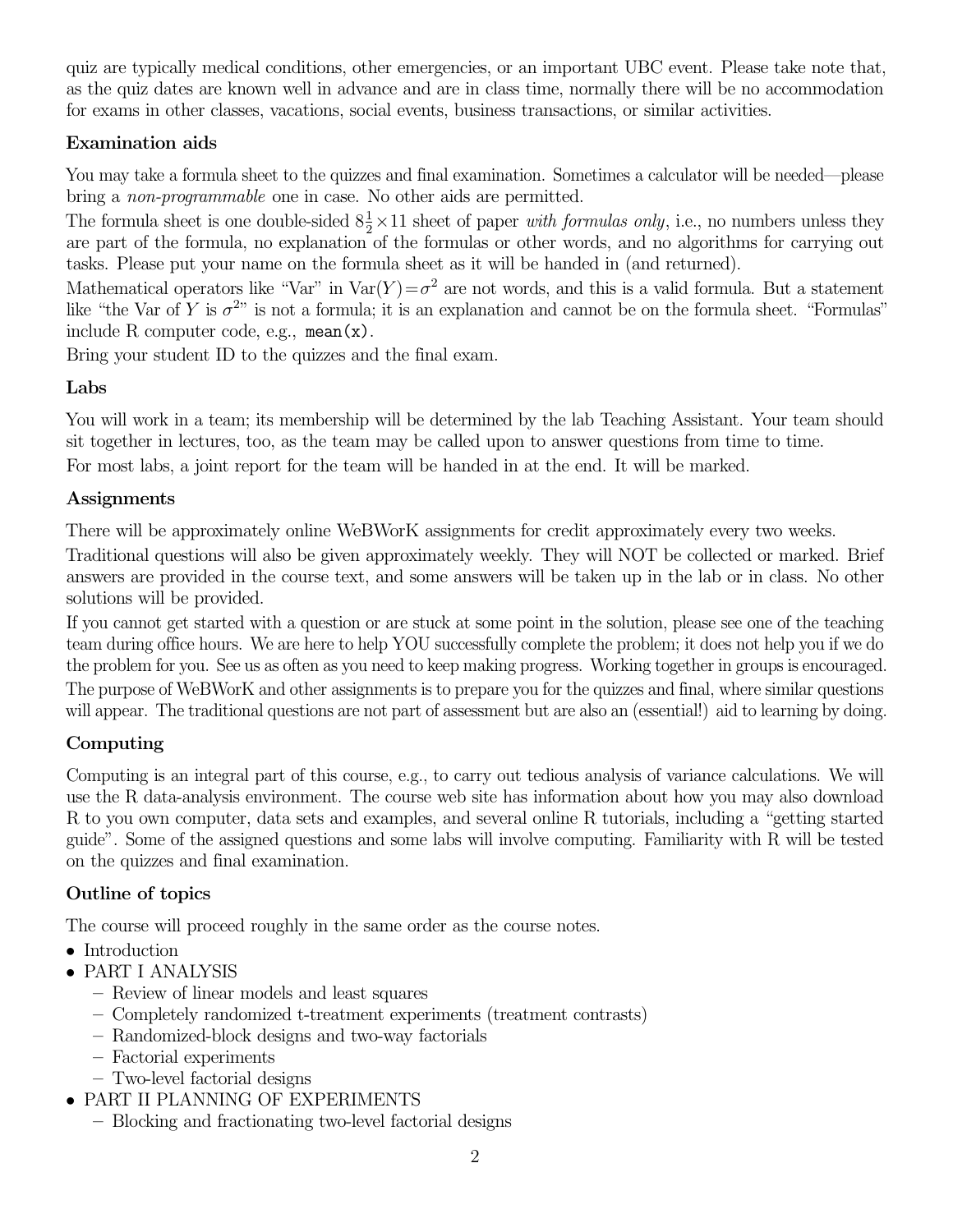quiz are typically medical conditions, other emergencies, or an important UBC event. Please take note that, as the quiz dates are known well in advance and are in class time, normally there will be no accommodation for exams in other classes, vacations, social events, business transactions, or similar activities.

# Examination aids

You may take a formula sheet to the quizzes and final examination. Sometimes a calculator will be needed—please bring a non-programmable one in case. No other aids are permitted.

The formula sheet is one double-sided  $8\frac{1}{2} \times 11$  sheet of paper *with formulas only*, i.e., no numbers unless they are part of the formula, no explanation of the formulas or other words, and no algorithms for carrying out tasks. Please put your name on the formula sheet as it will be handed in (and returned).

Mathematical operators like "Var" in  $Var(Y) = \sigma^2$  are not words, and this is a valid formula. But a statement like "the Var of Y is  $\sigma^{2n}$  is not a formula; it is an explanation and cannot be on the formula sheet. "Formulas" include R computer code, e.g., mean $(x)$ .

Bring your student ID to the quizzes and the final exam.

# Labs

You will work in a team; its membership will be determined by the lab Teaching Assistant. Your team should sit together in lectures, too, as the team may be called upon to answer questions from time to time. For most labs, a joint report for the team will be handed in at the end. It will be marked.

# Assignments

There will be approximately online WeBWorK assignments for credit approximately every two weeks.

Traditional questions will also be given approximately weekly. They will NOT be collected or marked. Brief answers are provided in the course text, and some answers will be taken up in the lab or in class. No other solutions will be provided.

If you cannot get started with a question or are stuck at some point in the solution, please see one of the teaching team during office hours. We are here to help YOU successfully complete the problem; it does not help you if we do the problem for you. See us as often as you need to keep making progress. Working together in groups is encouraged. The purpose of WeBWorK and other assignments is to prepare you for the quizzes and final, where similar questions will appear. The traditional questions are not part of assessment but are also an (essential!) aid to learning by doing.

# Computing

Computing is an integral part of this course, e.g., to carry out tedious analysis of variance calculations. We will use the R data-analysis environment. The course web site has information about how you may also download R to you own computer, data sets and examples, and several online R tutorials, including a "getting started guide". Some of the assigned questions and some labs will involve computing. Familiarity with R will be tested on the quizzes and final examination.

# Outline of topics

The course will proceed roughly in the same order as the course notes.

- Introduction
- PART I ANALYSIS
	- Review of linear models and least squares
	- Completely randomized t-treatment experiments (treatment contrasts)
	- Randomized-block designs and two-way factorials
	- Factorial experiments
	- Two-level factorial designs
- PART II PLANNING OF EXPERIMENTS
	- Blocking and fractionating two-level factorial designs